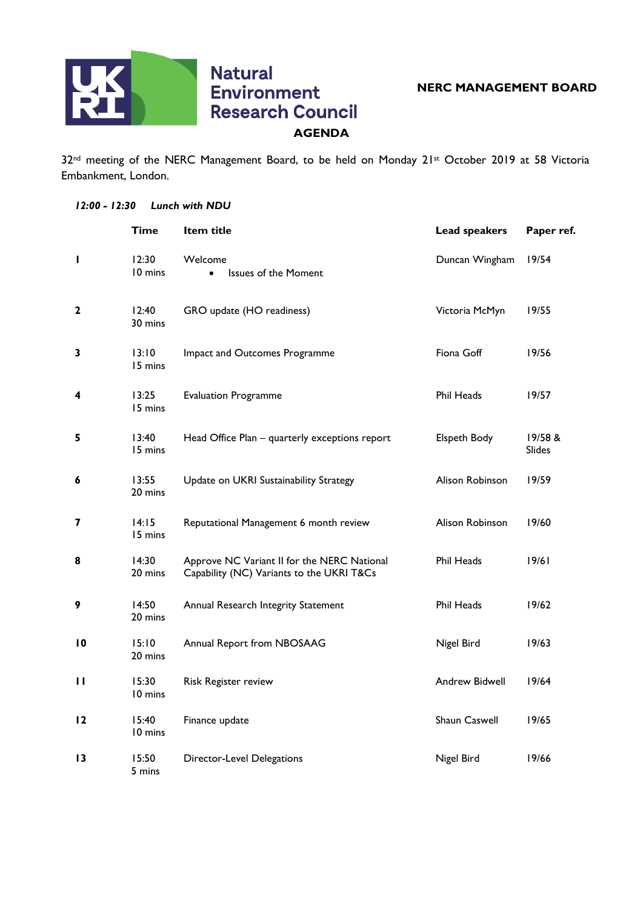

## **Natural Environment Research Council AGENDA**

32<sup>nd</sup> meeting of the NERC Management Board, to be held on Monday 21st October 2019 at 58 Victoria Embankment, London.

## *12:00 - 12:30 Lunch with NDU*

|                 | Time             | Item title                                                                               | <b>Lead speakers</b> | Paper ref.               |
|-----------------|------------------|------------------------------------------------------------------------------------------|----------------------|--------------------------|
| п               | 12:30<br>10 mins | Welcome<br><b>Issues of the Moment</b><br>$\bullet$                                      | Duncan Wingham       | 19/54                    |
| $\mathbf{2}$    | 12:40<br>30 mins | GRO update (HO readiness)                                                                | Victoria McMyn       | 19/55                    |
| 3               | 13:10<br>15 mins | Impact and Outcomes Programme                                                            | Fiona Goff           | 19/56                    |
| 4               | 13:25<br>15 mins | <b>Evaluation Programme</b>                                                              | <b>Phil Heads</b>    | 19/57                    |
| 5               | 13:40<br>15 mins | Head Office Plan - quarterly exceptions report                                           | Elspeth Body         | 19/58 &<br><b>Slides</b> |
| 6               | 13:55<br>20 mins | Update on UKRI Sustainability Strategy                                                   | Alison Robinson      | 19/59                    |
| 7               | 14:15<br>15 mins | Reputational Management 6 month review                                                   | Alison Robinson      | 19/60                    |
| 8               | 14:30<br>20 mins | Approve NC Variant II for the NERC National<br>Capability (NC) Variants to the UKRI T&Cs | <b>Phil Heads</b>    | 19/61                    |
| 9               | 14:50<br>20 mins | Annual Research Integrity Statement                                                      | <b>Phil Heads</b>    | 19/62                    |
| 10              | 15:10<br>20 mins | Annual Report from NBOSAAG                                                               | Nigel Bird           | 19/63                    |
| п               | 15:30<br>10 mins | Risk Register review                                                                     | Andrew Bidwell       | 19/64                    |
| $\overline{2}$  | 15:40<br>10 mins | Finance update                                                                           | Shaun Caswell        | 19/65                    |
| $\overline{13}$ | 15:50<br>5 mins  | <b>Director-Level Delegations</b>                                                        | Nigel Bird           | 19/66                    |